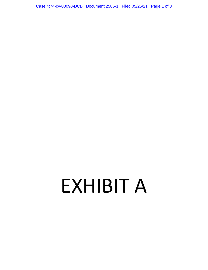Case 4:74-cv-00090-DCB Document 2585-1 Filed 05/25/21 Page 1 of 3

## EXHIBIT A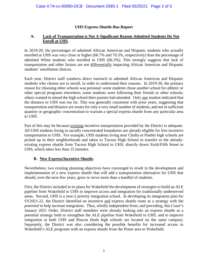## **UHS Express Shuttle-Bus Report**

## **A. Lack of Transportation is Not A Significant Reason Admitted Students Do Not Enroll at UHS.**

In 2019-20, the percentages of admitted African American and Hispanic students who actually enrolled at UHS was very close or higher (66.7% and 70.3%, respectively) than the percentage of admitted White students who enrolled in UHS (66.3%). This strongly suggests that lack of transportation and other factors are not differentially impacting African American and Hispanic students' enrollment choices.

Each year, District staff conducts direct outreach to admitted African American and Hispanic students who choose not to enroll, in order to understand their reasons. In 2019-20, the primary reason for choosing other schools was personal: some students chose another school for athletic or other special programs elsewhere; some students were following their friends to other schools; others wanted to attend the high school their parents had attended. Only one student indicated that the distance to UHS was too far. This was generally consistent with prior years, suggesting that transportation and distance are issues for only a very small number of students, and not in sufficient quantity or geographic concentration to warrant a special express shuttle from any particular area to UHS.

Part of this may be because existing incentive transportation provided by the District is adequate. All UHS students living in racially concentrated boundaries are already eligible for free incentive transportation to UHS. For example, UHS students living near Cholla or Pueblo high schools are picked up in their neighborhoods and taken to Tucson High School to transfer to the alreadyexisting express shuttle from Tucson High School to UHS, directly down Sixth/Fifth Street to UHS, which takes less than 15 minutes.

## **B. New Express/Incentive Shuttle.**

Nevertheless, two existing planning objectives have converged to result in the development and implementation of a new express shuttle that will add a transportation alternative for UHS that should, over the next few years, grow to serve more than a handful of students.

First, the District included in its plans for Wakefield the development of strategies to build an ALE pipeline from Wakefield to UHS to improve access and integration for traditionally underserved areas. Second, UHS is a year-2 priority integration school. In developing its integration plan for SY2021-22, the District identified an incentive and express shuttle route as a strategy with the *potential* to help increase integration. Thus, wholly independent from, and preceding, this Court's January 2021 Order, District staff members were already looking into an express shuttle as a potential strategy both to strengthen the ALE pipeline from Wakefield to UHS, and to improve integration at both UHS and Rincon (both high schools are located on the same campus). Separately, the District was also considering the possible benefits for increased access to Wakefield's ALE programs with an express shuttle from the Pistor area to Wakefield.